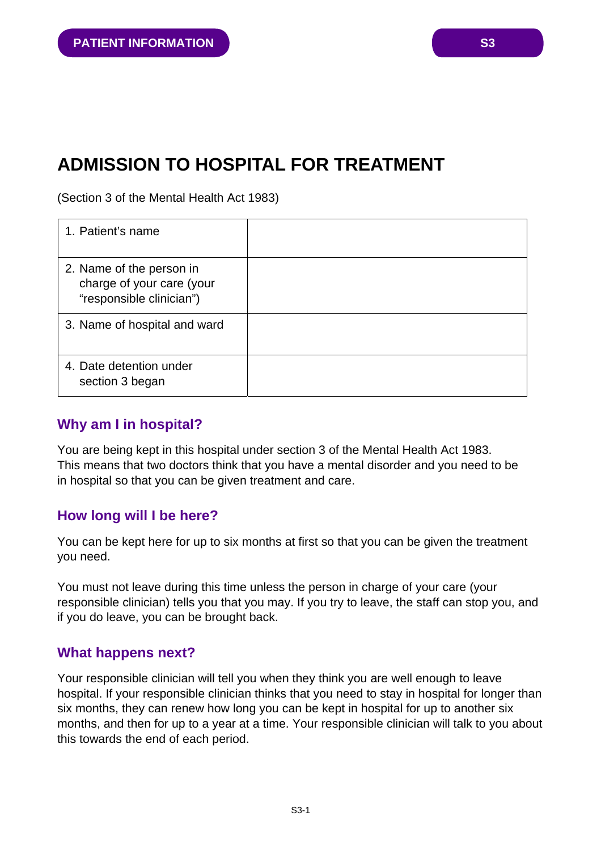# **ADMISSION TO HOSPITAL FOR TREATMENT**

(Section 3 of the Mental Health Act 1983)

| 1. Patient's name                                                                 |  |
|-----------------------------------------------------------------------------------|--|
| 2. Name of the person in<br>charge of your care (your<br>"responsible clinician") |  |
| 3. Name of hospital and ward                                                      |  |
| 4. Date detention under<br>section 3 began                                        |  |

## **Why am I in hospital?**

You are being kept in this hospital under section 3 of the Mental Health Act 1983. This means that two doctors think that you have a mental disorder and you need to be in hospital so that you can be given treatment and care.

# **How long will I be here?**

You can be kept here for up to six months at first so that you can be given the treatment you need.

You must not leave during this time unless the person in charge of your care (your responsible clinician) tells you that you may. If you try to leave, the staff can stop you, and if you do leave, you can be brought back.

### **What happens next?**

Your responsible clinician will tell you when they think you are well enough to leave hospital. If your responsible clinician thinks that you need to stay in hospital for longer than six months, they can renew how long you can be kept in hospital for up to another six months, and then for up to a year at a time. Your responsible clinician will talk to you about this towards the end of each period.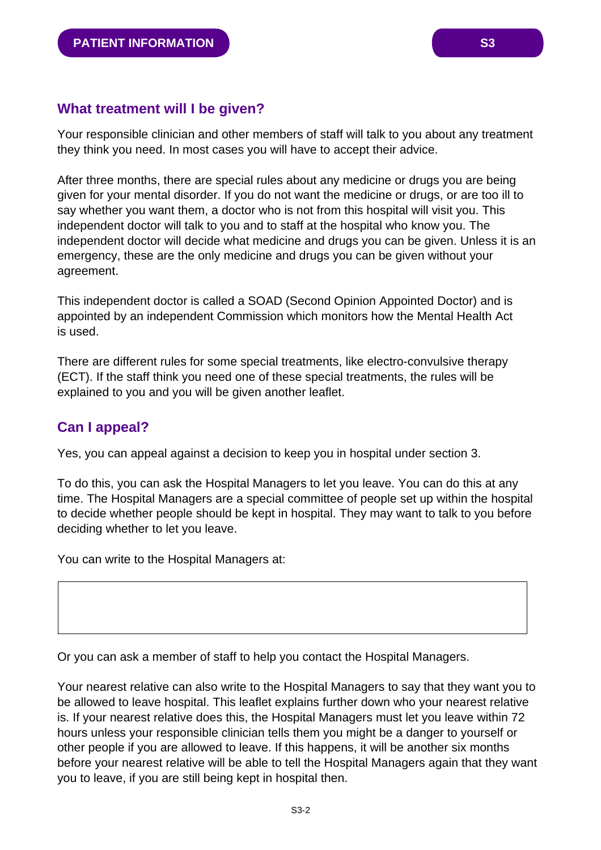## **What treatment will I be given?**

Your responsible clinician and other members of staff will talk to you about any treatment they think you need. In most cases you will have to accept their advice.

After three months, there are special rules about any medicine or drugs you are being given for your mental disorder. If you do not want the medicine or drugs, or are too ill to say whether you want them, a doctor who is not from this hospital will visit you. This independent doctor will talk to you and to staff at the hospital who know you. The independent doctor will decide what medicine and drugs you can be given. Unless it is an emergency, these are the only medicine and drugs you can be given without your agreement.

This independent doctor is called a SOAD (Second Opinion Appointed Doctor) and is appointed by an independent Commission which monitors how the Mental Health Act is used.

There are different rules for some special treatments, like electro-convulsive therapy (ECT). If the staff think you need one of these special treatments, the rules will be explained to you and you will be given another leaflet.

## **Can I appeal?**

Yes, you can appeal against a decision to keep you in hospital under section 3.

To do this, you can ask the Hospital Managers to let you leave. You can do this at any time. The Hospital Managers are a special committee of people set up within the hospital to decide whether people should be kept in hospital. They may want to talk to you before deciding whether to let you leave.

You can write to the Hospital Managers at:

Or you can ask a member of staff to help you contact the Hospital Managers.

Your nearest relative can also write to the Hospital Managers to say that they want you to be allowed to leave hospital. This leaflet explains further down who your nearest relative is. If your nearest relative does this, the Hospital Managers must let you leave within 72 hours unless your responsible clinician tells them you might be a danger to yourself or other people if you are allowed to leave. If this happens, it will be another six months before your nearest relative will be able to tell the Hospital Managers again that they want you to leave, if you are still being kept in hospital then.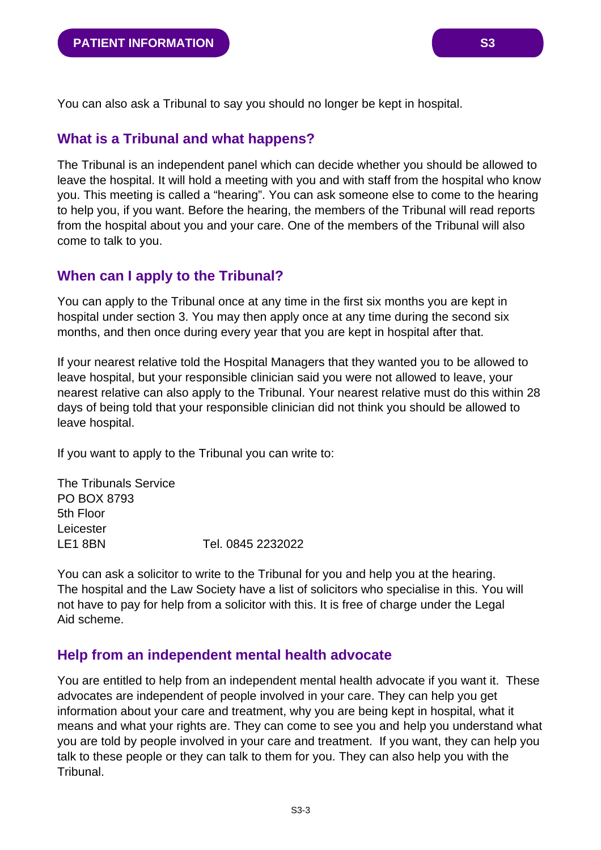You can also ask a Tribunal to say you should no longer be kept in hospital.

### **What is a Tribunal and what happens?**

The Tribunal is an independent panel which can decide whether you should be allowed to leave the hospital. It will hold a meeting with you and with staff from the hospital who know you. This meeting is called a "hearing". You can ask someone else to come to the hearing to help you, if you want. Before the hearing, the members of the Tribunal will read reports from the hospital about you and your care. One of the members of the Tribunal will also come to talk to you.

## **When can I apply to the Tribunal?**

You can apply to the Tribunal once at any time in the first six months you are kept in hospital under section 3. You may then apply once at any time during the second six months, and then once during every year that you are kept in hospital after that.

If your nearest relative told the Hospital Managers that they wanted you to be allowed to leave hospital, but your responsible clinician said you were not allowed to leave, your nearest relative can also apply to the Tribunal. Your nearest relative must do this within 28 days of being told that your responsible clinician did not think you should be allowed to leave hospital.

If you want to apply to the Tribunal you can write to:

The Tribunals Service PO BOX 8793 5th Floor Leicester LE1 8BN Tel. 0845 2232022

You can ask a solicitor to write to the Tribunal for you and help you at the hearing. The hospital and the Law Society have a list of solicitors who specialise in this. You will not have to pay for help from a solicitor with this. It is free of charge under the Legal Aid scheme.

### **Help from an independent mental health advocate**

You are entitled to help from an independent mental health advocate if you want it. These advocates are independent of people involved in your care. They can help you get information about your care and treatment, why you are being kept in hospital, what it means and what your rights are. They can come to see you and help you understand what you are told by people involved in your care and treatment. If you want, they can help you talk to these people or they can talk to them for you. They can also help you with the Tribunal.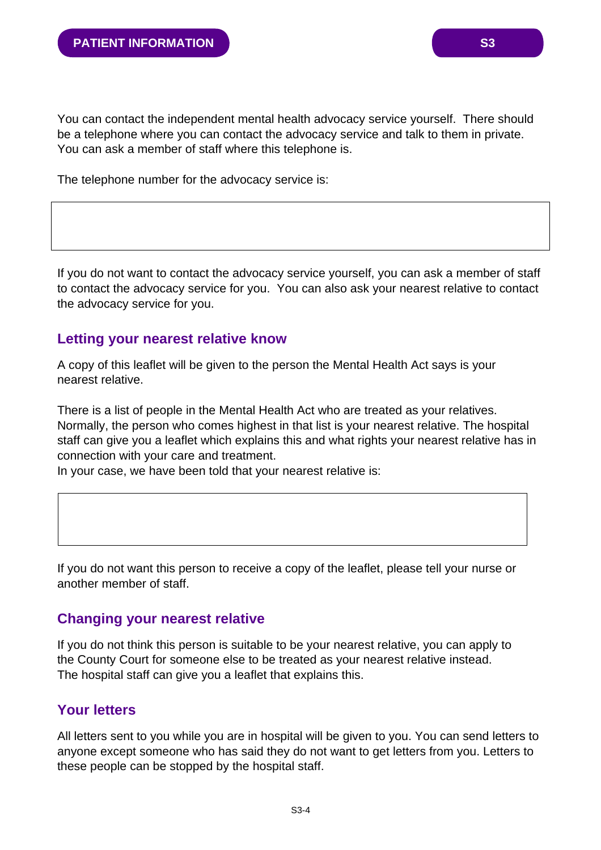You can contact the independent mental health advocacy service yourself. There should be a telephone where you can contact the advocacy service and talk to them in private. You can ask a member of staff where this telephone is.

The telephone number for the advocacy service is:

If you do not want to contact the advocacy service yourself, you can ask a member of staff to contact the advocacy service for you. You can also ask your nearest relative to contact the advocacy service for you.

#### **Letting your nearest relative know**

A copy of this leaflet will be given to the person the Mental Health Act says is your nearest relative.

There is a list of people in the Mental Health Act who are treated as your relatives. Normally, the person who comes highest in that list is your nearest relative. The hospital staff can give you a leaflet which explains this and what rights your nearest relative has in connection with your care and treatment.

In your case, we have been told that your nearest relative is:

If you do not want this person to receive a copy of the leaflet, please tell your nurse or another member of staff.

#### **Changing your nearest relative**

If you do not think this person is suitable to be your nearest relative, you can apply to the County Court for someone else to be treated as your nearest relative instead. The hospital staff can give you a leaflet that explains this.

## **Your letters**

All letters sent to you while you are in hospital will be given to you. You can send letters to anyone except someone who has said they do not want to get letters from you. Letters to these people can be stopped by the hospital staff.